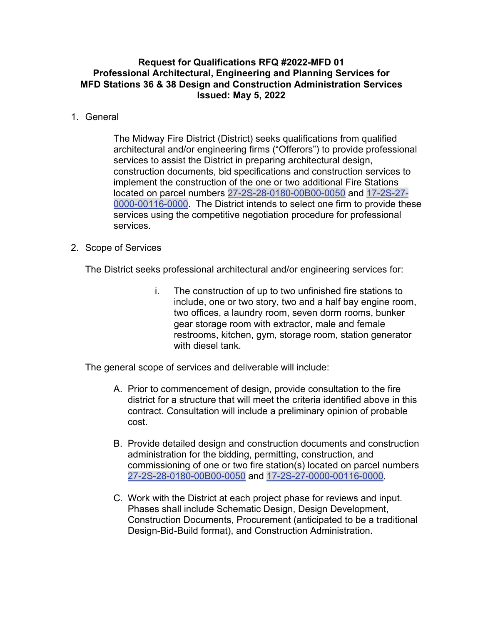# **Request for Qualifications RFQ #2022-MFD 01 Professional Architectural, Engineering and Planning Services for MFD Stations 36 & 38 Design and Construction Administration Services Issued: May 5, 2022**

# 1. General

The Midway Fire District (District) seeks qualifications from qualified architectural and/or engineering firms ("Offerors") to provide professional services to assist the District in preparing architectural design, construction documents, bid specifications and construction services to implement the construction of the one or two additional Fire Stations located on parcel numbers [27-2S-28-0180-00B00-0050](https://www.srcpa.gov/Parcel/Index2?parcel=27-2S-28-0180-00B00-0050) and [17-2S-27-](https://www.srcpa.gov/Parcel/Index2?parcel=17-2S-27-0000-00116-0000) [0000-00116-0000](https://www.srcpa.gov/Parcel/Index2?parcel=17-2S-27-0000-00116-0000). The District intends to select one firm to provide these services using the competitive negotiation procedure for professional services.

# 2. Scope of Services

The District seeks professional architectural and/or engineering services for:

i. The construction of up to two unfinished fire stations to include, one or two story, two and a half bay engine room, two offices, a laundry room, seven dorm rooms, bunker gear storage room with extractor, male and female restrooms, kitchen, gym, storage room, station generator with diesel tank.

The general scope of services and deliverable will include:

- A. Prior to commencement of design, provide consultation to the fire district for a structure that will meet the criteria identified above in this contract. Consultation will include a preliminary opinion of probable cost.
- B. Provide detailed design and construction documents and construction administration for the bidding, permitting, construction, and commissioning of one or two fire station(s) located on parcel numbers [27-2S-28-0180-00B00-0050](https://www.srcpa.gov/Parcel/Index2?parcel=27-2S-28-0180-00B00-0050) and [17-2S-27-0000-00116-0000](https://www.srcpa.gov/Parcel/Index2?parcel=17-2S-27-0000-00116-0000).
- C. Work with the District at each project phase for reviews and input. Phases shall include Schematic Design, Design Development, Construction Documents, Procurement (anticipated to be a traditional Design-Bid-Build format), and Construction Administration.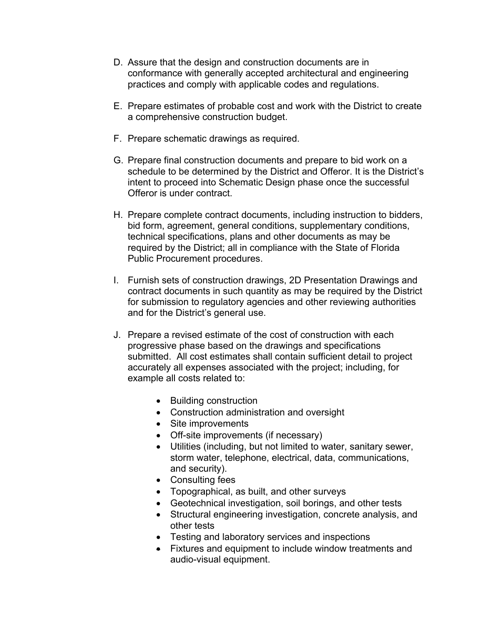- D. Assure that the design and construction documents are in conformance with generally accepted architectural and engineering practices and comply with applicable codes and regulations.
- E. Prepare estimates of probable cost and work with the District to create a comprehensive construction budget.
- F. Prepare schematic drawings as required.
- G. Prepare final construction documents and prepare to bid work on a schedule to be determined by the District and Offeror. It is the District's intent to proceed into Schematic Design phase once the successful Offeror is under contract.
- H. Prepare complete contract documents, including instruction to bidders, bid form, agreement, general conditions, supplementary conditions, technical specifications, plans and other documents as may be required by the District; all in compliance with the State of Florida Public Procurement procedures.
- I. Furnish sets of construction drawings, 2D Presentation Drawings and contract documents in such quantity as may be required by the District for submission to regulatory agencies and other reviewing authorities and for the District's general use.
- J. Prepare a revised estimate of the cost of construction with each progressive phase based on the drawings and specifications submitted. All cost estimates shall contain sufficient detail to project accurately all expenses associated with the project; including, for example all costs related to:
	- Building construction
	- Construction administration and oversight
	- Site improvements
	- Off-site improvements (if necessary)
	- Utilities (including, but not limited to water, sanitary sewer, storm water, telephone, electrical, data, communications, and security).
	- Consulting fees
	- Topographical, as built, and other surveys
	- Geotechnical investigation, soil borings, and other tests
	- Structural engineering investigation, concrete analysis, and other tests
	- Testing and laboratory services and inspections
	- Fixtures and equipment to include window treatments and audio-visual equipment.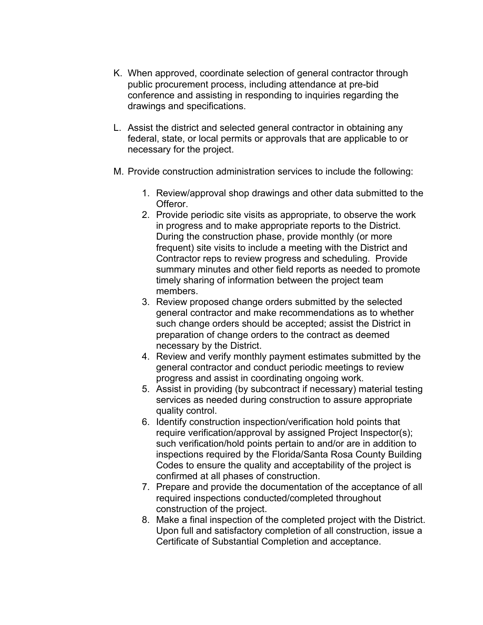- K. When approved, coordinate selection of general contractor through public procurement process, including attendance at pre-bid conference and assisting in responding to inquiries regarding the drawings and specifications.
- L. Assist the district and selected general contractor in obtaining any federal, state, or local permits or approvals that are applicable to or necessary for the project.
- M. Provide construction administration services to include the following:
	- 1. Review/approval shop drawings and other data submitted to the Offeror.
	- 2. Provide periodic site visits as appropriate, to observe the work in progress and to make appropriate reports to the District. During the construction phase, provide monthly (or more frequent) site visits to include a meeting with the District and Contractor reps to review progress and scheduling. Provide summary minutes and other field reports as needed to promote timely sharing of information between the project team members.
	- 3. Review proposed change orders submitted by the selected general contractor and make recommendations as to whether such change orders should be accepted; assist the District in preparation of change orders to the contract as deemed necessary by the District.
	- 4. Review and verify monthly payment estimates submitted by the general contractor and conduct periodic meetings to review progress and assist in coordinating ongoing work.
	- 5. Assist in providing (by subcontract if necessary) material testing services as needed during construction to assure appropriate quality control.
	- 6. Identify construction inspection/verification hold points that require verification/approval by assigned Project Inspector(s); such verification/hold points pertain to and/or are in addition to inspections required by the Florida/Santa Rosa County Building Codes to ensure the quality and acceptability of the project is confirmed at all phases of construction.
	- 7. Prepare and provide the documentation of the acceptance of all required inspections conducted/completed throughout construction of the project.
	- 8. Make a final inspection of the completed project with the District. Upon full and satisfactory completion of all construction, issue a Certificate of Substantial Completion and acceptance.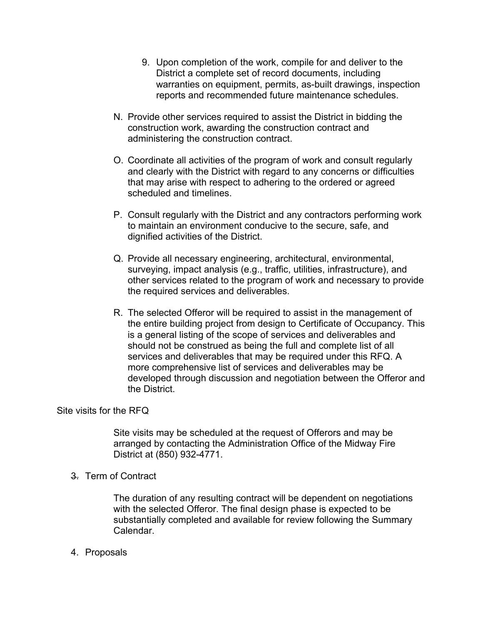- 9. Upon completion of the work, compile for and deliver to the District a complete set of record documents, including warranties on equipment, permits, as-built drawings, inspection reports and recommended future maintenance schedules.
- N. Provide other services required to assist the District in bidding the construction work, awarding the construction contract and administering the construction contract.
- O. Coordinate all activities of the program of work and consult regularly and clearly with the District with regard to any concerns or difficulties that may arise with respect to adhering to the ordered or agreed scheduled and timelines.
- P. Consult regularly with the District and any contractors performing work to maintain an environment conducive to the secure, safe, and dignified activities of the District.
- Q. Provide all necessary engineering, architectural, environmental, surveying, impact analysis (e.g., traffic, utilities, infrastructure), and other services related to the program of work and necessary to provide the required services and deliverables.
- R. The selected Offeror will be required to assist in the management of the entire building project from design to Certificate of Occupancy. This is a general listing of the scope of services and deliverables and should not be construed as being the full and complete list of all services and deliverables that may be required under this RFQ. A more comprehensive list of services and deliverables may be developed through discussion and negotiation between the Offeror and the District.

#### Site visits for the RFQ

Site visits may be scheduled at the request of Offerors and may be arranged by contacting the Administration Office of the Midway Fire District at (850) 932-4771.

#### 3. Term of Contract

The duration of any resulting contract will be dependent on negotiations with the selected Offeror. The final design phase is expected to be substantially completed and available for review following the Summary Calendar.

#### 4. Proposals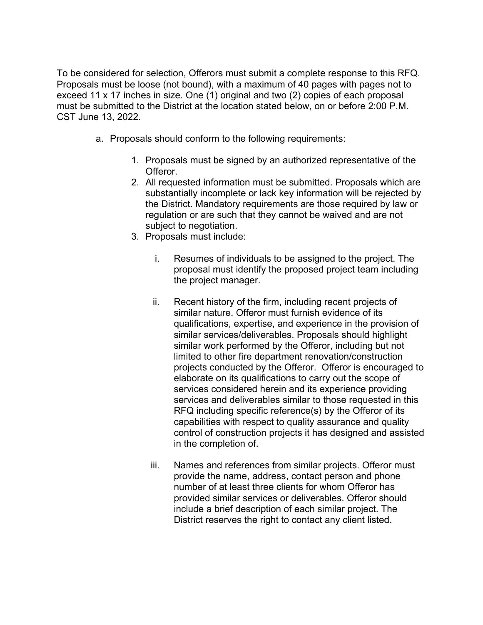To be considered for selection, Offerors must submit a complete response to this RFQ. Proposals must be loose (not bound), with a maximum of 40 pages with pages not to exceed 11 x 17 inches in size. One (1) original and two (2) copies of each proposal must be submitted to the District at the location stated below, on or before 2:00 P.M. CST June 13, 2022.

- a. Proposals should conform to the following requirements:
	- 1. Proposals must be signed by an authorized representative of the Offeror.
	- 2. All requested information must be submitted. Proposals which are substantially incomplete or lack key information will be rejected by the District. Mandatory requirements are those required by law or regulation or are such that they cannot be waived and are not subject to negotiation.
	- 3. Proposals must include:
		- i. Resumes of individuals to be assigned to the project. The proposal must identify the proposed project team including the project manager.
		- ii. Recent history of the firm, including recent projects of similar nature. Offeror must furnish evidence of its qualifications, expertise, and experience in the provision of similar services/deliverables. Proposals should highlight similar work performed by the Offeror, including but not limited to other fire department renovation/construction projects conducted by the Offeror. Offeror is encouraged to elaborate on its qualifications to carry out the scope of services considered herein and its experience providing services and deliverables similar to those requested in this RFQ including specific reference(s) by the Offeror of its capabilities with respect to quality assurance and quality control of construction projects it has designed and assisted in the completion of.
		- iii. Names and references from similar projects. Offeror must provide the name, address, contact person and phone number of at least three clients for whom Offeror has provided similar services or deliverables. Offeror should include a brief description of each similar project. The District reserves the right to contact any client listed.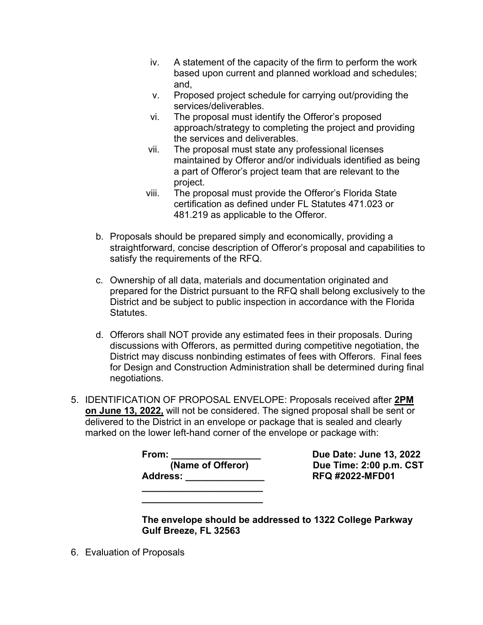- iv. A statement of the capacity of the firm to perform the work based upon current and planned workload and schedules; and,
- v. Proposed project schedule for carrying out/providing the services/deliverables.
- vi. The proposal must identify the Offeror's proposed approach/strategy to completing the project and providing the services and deliverables.
- vii. The proposal must state any professional licenses maintained by Offeror and/or individuals identified as being a part of Offeror's project team that are relevant to the project.
- viii. The proposal must provide the Offeror's Florida State certification as defined under FL Statutes 471.023 or 481.219 as applicable to the Offeror.
- b. Proposals should be prepared simply and economically, providing a straightforward, concise description of Offeror's proposal and capabilities to satisfy the requirements of the RFQ.
- c. Ownership of all data, materials and documentation originated and prepared for the District pursuant to the RFQ shall belong exclusively to the District and be subject to public inspection in accordance with the Florida Statutes.
- d. Offerors shall NOT provide any estimated fees in their proposals. During discussions with Offerors, as permitted during competitive negotiation, the District may discuss nonbinding estimates of fees with Offerors. Final fees for Design and Construction Administration shall be determined during final negotiations.
- 5. IDENTIFICATION OF PROPOSAL ENVELOPE: Proposals received after **2PM on June 13, 2022,** will not be considered. The signed proposal shall be sent or delivered to the District in an envelope or package that is sealed and clearly marked on the lower left-hand corner of the envelope or package with:

| From:             |  |
|-------------------|--|
| (Name of Offeror) |  |
| <b>Address:</b>   |  |
|                   |  |

**\_\_\_\_\_\_\_\_\_\_\_\_\_\_\_\_\_\_\_\_\_\_\_**

**From: \_\_\_\_\_\_\_\_\_\_\_\_\_\_\_\_\_ Due Date: June 13, 2022 (Name of Offeror) Due Time: 2:00 p.m. CST Address: \_\_\_\_\_\_\_\_\_\_\_\_\_\_\_ RFQ #2022-MFD01**

**The envelope should be addressed to 1322 College Parkway Gulf Breeze, FL 32563**

6. Evaluation of Proposals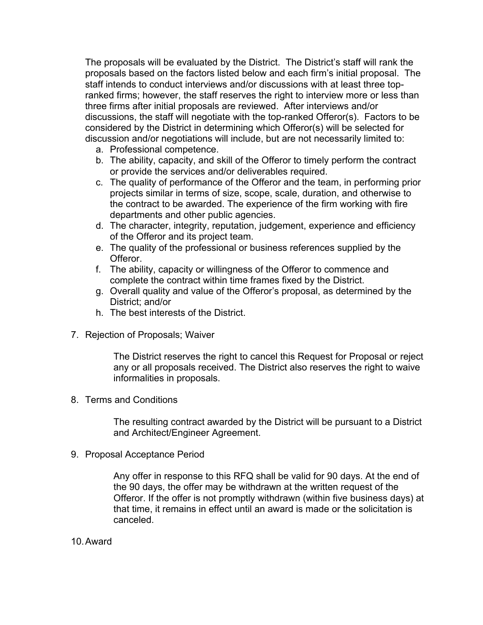The proposals will be evaluated by the District. The District's staff will rank the proposals based on the factors listed below and each firm's initial proposal. The staff intends to conduct interviews and/or discussions with at least three topranked firms; however, the staff reserves the right to interview more or less than three firms after initial proposals are reviewed. After interviews and/or discussions, the staff will negotiate with the top-ranked Offeror(s). Factors to be considered by the District in determining which Offeror(s) will be selected for discussion and/or negotiations will include, but are not necessarily limited to:

- a. Professional competence.
- b. The ability, capacity, and skill of the Offeror to timely perform the contract or provide the services and/or deliverables required.
- c. The quality of performance of the Offeror and the team, in performing prior projects similar in terms of size, scope, scale, duration, and otherwise to the contract to be awarded. The experience of the firm working with fire departments and other public agencies.
- d. The character, integrity, reputation, judgement, experience and efficiency of the Offeror and its project team.
- e. The quality of the professional or business references supplied by the Offeror.
- f. The ability, capacity or willingness of the Offeror to commence and complete the contract within time frames fixed by the District.
- g. Overall quality and value of the Offeror's proposal, as determined by the District; and/or
- h. The best interests of the District.
- 7. Rejection of Proposals; Waiver

The District reserves the right to cancel this Request for Proposal or reject any or all proposals received. The District also reserves the right to waive informalities in proposals.

8. Terms and Conditions

The resulting contract awarded by the District will be pursuant to a District and Architect/Engineer Agreement.

9. Proposal Acceptance Period

Any offer in response to this RFQ shall be valid for 90 days. At the end of the 90 days, the offer may be withdrawn at the written request of the Offeror. If the offer is not promptly withdrawn (within five business days) at that time, it remains in effect until an award is made or the solicitation is canceled.

10.Award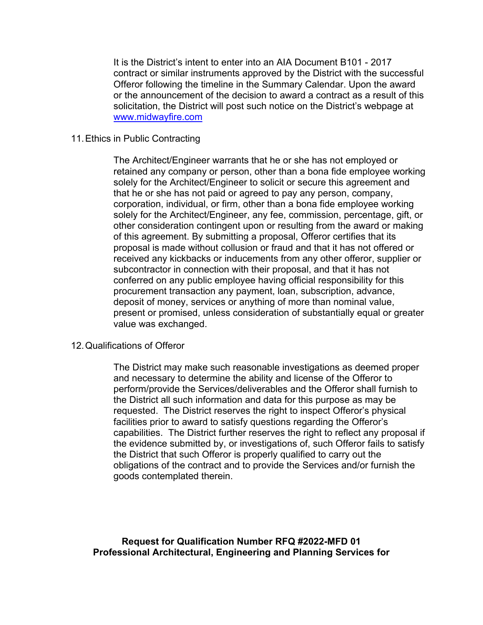It is the District's intent to enter into an AIA Document B101 - 2017 contract or similar instruments approved by the District with the successful Offeror following the timeline in the Summary Calendar. Upon the award or the announcement of the decision to award a contract as a result of this solicitation, the District will post such notice on the District's webpage at [www.midwayfire.com](http://www.midwayfire.com/)

### 11.Ethics in Public Contracting

The Architect/Engineer warrants that he or she has not employed or retained any company or person, other than a bona fide employee working solely for the Architect/Engineer to solicit or secure this agreement and that he or she has not paid or agreed to pay any person, company, corporation, individual, or firm, other than a bona fide employee working solely for the Architect/Engineer, any fee, commission, percentage, gift, or other consideration contingent upon or resulting from the award or making of this agreement. By submitting a proposal, Offeror certifies that its proposal is made without collusion or fraud and that it has not offered or received any kickbacks or inducements from any other offeror, supplier or subcontractor in connection with their proposal, and that it has not conferred on any public employee having official responsibility for this procurement transaction any payment, loan, subscription, advance, deposit of money, services or anything of more than nominal value, present or promised, unless consideration of substantially equal or greater value was exchanged.

#### 12.Qualifications of Offeror

The District may make such reasonable investigations as deemed proper and necessary to determine the ability and license of the Offeror to perform/provide the Services/deliverables and the Offeror shall furnish to the District all such information and data for this purpose as may be requested. The District reserves the right to inspect Offeror's physical facilities prior to award to satisfy questions regarding the Offeror's capabilities. The District further reserves the right to reflect any proposal if the evidence submitted by, or investigations of, such Offeror fails to satisfy the District that such Offeror is properly qualified to carry out the obligations of the contract and to provide the Services and/or furnish the goods contemplated therein.

**Request for Qualification Number RFQ #2022-MFD 01 Professional Architectural, Engineering and Planning Services for**